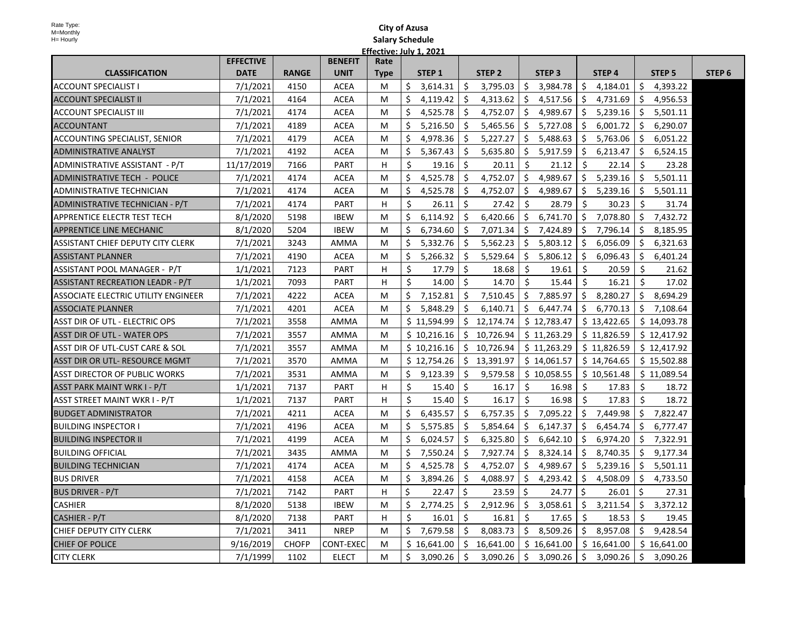| H= Hourly                                  | <b>Salary Schedule</b> |              |                        |             |                         |     |                   |         |               |    |                   |    |                   |                   |
|--------------------------------------------|------------------------|--------------|------------------------|-------------|-------------------------|-----|-------------------|---------|---------------|----|-------------------|----|-------------------|-------------------|
|                                            |                        |              |                        |             | Effective: July 1, 2021 |     |                   |         |               |    |                   |    |                   |                   |
|                                            | <b>EFFECTIVE</b>       |              | <b>BENEFIT</b><br>Rate |             |                         |     |                   |         |               |    |                   |    |                   |                   |
| <b>CLASSIFICATION</b>                      | <b>DATE</b>            | <b>RANGE</b> | <b>UNIT</b>            | <b>Type</b> | STEP <sub>1</sub>       |     | STEP <sub>2</sub> |         | <b>STEP 3</b> |    | STEP <sub>4</sub> |    | STEP <sub>5</sub> | STEP <sub>6</sub> |
| <b>ACCOUNT SPECIALIST I</b>                | 7/1/2021               | 4150         | <b>ACEA</b>            | M           | \$<br>3,614.31          | S.  | 3,795.03          | \$      | 3,984.78      | \$ | 4,184.01          | \$ | 4,393.22          |                   |
| <b>ACCOUNT SPECIALIST II</b>               | 7/1/2021               | 4164         | <b>ACEA</b>            | M           | Ŝ.<br>4,119.42          | -\$ | 4,313.62          | \$      | 4,517.56      | \$ | 4,731.69          | \$ | 4,956.53          |                   |
| <b>ACCOUNT SPECIALIST III</b>              | 7/1/2021               | 4174         | <b>ACEA</b>            | M           | Ŝ.<br>4,525.78          | Ŝ.  | 4,752.07          | \$      | 4,989.67      | \$ | 5,239.16          | \$ | 5,501.11          |                   |
| <b>ACCOUNTANT</b>                          | 7/1/2021               | 4189         | <b>ACEA</b>            | M           | Ŝ.<br>5,216.50          | Ŝ.  | 5,465.56          | \$      | 5,727.08      | Ŝ. | 6,001.72          | Ŝ. | 6,290.07          |                   |
| ACCOUNTING SPECIALIST, SENIOR              | 7/1/2021               | 4179         | <b>ACEA</b>            | M           | Ŝ.<br>4,978.36          | Ŝ.  | 5.227.27          | Ŝ.      | 5,488.63      | Ŝ. | 5,763.06          | Ŝ. | 6,051.22          |                   |
| <b>ADMINISTRATIVE ANALYST</b>              | 7/1/2021               | 4192         | <b>ACEA</b>            | M           | \$<br>5,367.43          | S.  | 5,635.80          | \$      | 5,917.59      | \$ | 6,213.47          | \$ | 6,524.15          |                   |
| ADMINISTRATIVE ASSISTANT - P/T             | 11/17/2019             | 7166         | PART                   | н           | \$<br>19.16             | -Ś  | 20.11             | Ŝ.      | 21.12         | Ŝ. | 22.14             | Ś  | 23.28             |                   |
| ADMINISTRATIVE TECH - POLICE               | 7/1/2021               | 4174         | <b>ACEA</b>            | M           | \$<br>4,525.78          | -\$ | 4,752.07          | \$      | 4,989.67      | Ŝ. | 5,239.16          | \$ | 5,501.11          |                   |
| ADMINISTRATIVE TECHNICIAN                  | 7/1/2021               | 4174         | <b>ACEA</b>            | M           | Ŝ.<br>4,525.78          | Ŝ.  | 4,752.07          | Ŝ.      | 4,989.67      | Ŝ. | 5,239.16          | Ŝ. | 5,501.11          |                   |
| ADMINISTRATIVE TECHNICIAN - P/T            | 7/1/2021               | 4174         | PART                   | н           | \$<br>26.11             | \$  | 27.42             | \$      | 28.79         | \$ | 30.23             | \$ | 31.74             |                   |
| APPRENTICE ELECTR TEST TECH                | 8/1/2020               | 5198         | <b>IBEW</b>            | M           | Ŝ.<br>6,114.92          | Ŝ.  | 6,420.66          | Ŝ.      | 6,741.70      | Ŝ. | 7,078.80          | Ŝ. | 7,432.72          |                   |
| <b>APPRENTICE LINE MECHANIC</b>            | 8/1/2020               | 5204         | <b>IBEW</b>            | M           | Ś.<br>6,734.60          | Ŝ.  | 7,071.34          | \$      | 7,424.89      | Ś. | 7,796.14          | Ŝ. | 8,185.95          |                   |
| ASSISTANT CHIEF DEPUTY CITY CLERK          | 7/1/2021               | 3243         | AMMA                   | M           | Ś.<br>5,332.76          | -Ś  | 5,562.23          | Ś.      | 5,803.12      | Ŝ. | 6,056.09          | Ŝ. | 6,321.63          |                   |
| <b>ASSISTANT PLANNER</b>                   | 7/1/2021               | 4190         | <b>ACEA</b>            | M           | \$<br>5,266.32          | -\$ | 5,529.64          | \$      | 5,806.12      | \$ | 6,096.43          | \$ | 6,401.24          |                   |
| ASSISTANT POOL MANAGER - P/T               | 1/1/2021               | 7123         | <b>PART</b>            | н           | \$<br>17.79             | -Ś  | 18.68             | \$      | 19.61         | Ŝ. | 20.59             | \$ | 21.62             |                   |
| ASSISTANT RECREATION LEADR - P/T           | 1/1/2021               | 7093         | PART                   | H           | Ś.<br>14.00             | -Ś  | 14.70             | Ŝ.      | 15.44         | Ŝ. | 16.21             | Ŝ. | 17.02             |                   |
| <b>ASSOCIATE ELECTRIC UTILITY ENGINEER</b> | 7/1/2021               | 4222         | <b>ACEA</b>            | M           | \$<br>7,152.81          | S.  | 7,510.45          | \$      | 7,885.97      | \$ | 8,280.27          | \$ | 8,694.29          |                   |
| <b>ASSOCIATE PLANNER</b>                   | 7/1/2021               | 4201         | <b>ACEA</b>            | M           | Ŝ.<br>5,848.29          | Ŝ.  | 6,140.71          | \$      | 6,447.74      | Ŝ. | 6,770.13          | Ŝ. | 7,108.64          |                   |
| <b>ASST DIR OF UTL - ELECTRIC OPS</b>      | 7/1/2021               | 3558         | <b>AMMA</b>            | M           | \$11,594.99             |     | \$12,174.74       |         | \$12,783.47   |    | \$13,422.65       |    | \$14,093.78       |                   |
| ASST DIR OF UTL - WATER OPS                | 7/1/2021               | 3557         | AMMA                   | M           | \$10,216.16             | Ŝ.  | 10,726.94         |         | \$11,263.29   |    | \$11,826.59       |    | \$12,417.92       |                   |
| ASST DIR OF UTL-CUST CARE & SOL            | 7/1/2021               | 3557         | AMMA                   | M           | \$10,216.16             | \$  | 10,726.94         |         | \$11,263.29   |    | \$11,826.59       |    | \$12,417.92       |                   |
| ASST DIR OR UTL- RESOURCE MGMT             | 7/1/2021               | 3570         | AMMA                   | M           | \$12,754.26             |     | \$13,391.97       |         | \$14,061.57   |    | \$14,764.65       |    | \$15,502.88       |                   |
| ASST DIRECTOR OF PUBLIC WORKS              | 7/1/2021               | 3531         | <b>AMMA</b>            | M           | Ŝ.<br>9,123.39          | Ŝ.  | 9,579.58          |         | \$10,058.55   |    | \$10,561.48       |    | \$11,089.54       |                   |
| ASST PARK MAINT WRK I - P/T                | 1/1/2021               | 7137         | <b>PART</b>            | н           | \$<br>15.40             | -\$ | 16.17             | Ŝ.      | 16.98         | Ŝ. | 17.83             | \$ | 18.72             |                   |
| ASST STREET MAINT WKR I - P/T              | 1/1/2021               | 7137         | <b>PART</b>            | н           | Ś.<br>15.40             | -Ś  | 16.17             | \$      | 16.98         | Ŝ. | 17.83             | Ŝ. | 18.72             |                   |
| <b>BUDGET ADMINISTRATOR</b>                | 7/1/2021               | 4211         | <b>ACEA</b>            | М           | Ŝ.<br>6,435.57          | Ś   | 6,757.35          | Ŝ.      | 7,095.22      | Ŝ. | 7,449.98          | Ŝ. | 7,822.47          |                   |
| <b>BUILDING INSPECTOR I</b>                | 7/1/2021               | 4196         | <b>ACEA</b>            | M           | \$<br>5,575.85          | \$  | 5,854.64          | \$      | 6,147.37      | \$ | 6,454.74          | \$ | 6,777.47          |                   |
| <b>BUILDING INSPECTOR II</b>               | 7/1/2021               | 4199         | <b>ACEA</b>            | M           | Ŝ.<br>6,024.57          | -Ś  | 6,325.80          | Ŝ.      | 6,642.10      | Ŝ. | 6,974.20          | Ŝ. | 7,322.91          |                   |
| <b>BUILDING OFFICIAL</b>                   | 7/1/2021               | 3435         | AMMA                   | M           | \$<br>7,550.24          | -\$ | 7,927.74          | \$      | 8,324.14      | \$ | 8,740.35          | \$ | 9,177.34          |                   |
| <b>BUILDING TECHNICIAN</b>                 | 7/1/2021               | 4174         | <b>ACEA</b>            | M           | Ŝ.<br>4,525.78          | Ŝ.  | 4,752.07          | Ŝ.      | 4,989.67      | Ŝ. | 5,239.16          | \$ | 5,501.11          |                   |
| <b>BUS DRIVER</b>                          | 7/1/2021               | 4158         | <b>ACEA</b>            | М           | \$<br>3,894.26          | \$  | 4,088.97          | \$      | 4,293.42      | \$ | 4,508.09          | \$ | 4,733.50          |                   |
| BUS DRIVER - P/T                           | 7/1/2021               | 7142         | <b>PART</b>            | н           | \$<br>22.47             | Ŝ.  | 23.59             | \$      | 24.77         | \$ | 26.01             | Ŝ. | 27.31             |                   |
| <b>CASHIER</b>                             | 8/1/2020               | 5138         | <b>IBEW</b>            | M           | \$<br>2,774.25          | S.  | 2,912.96          | \$      | 3,058.61      | Ŝ. | 3,211.54          | \$ | 3,372.12          |                   |
| CASHIER - P/T                              | 8/1/2020               | 7138         | PART                   | н           | \$<br>16.01             | \$  | 16.81             | Ŝ.      | 17.65         | Ś. | 18.53             | Ś. | 19.45             |                   |
| CHIEF DEPUTY CITY CLERK                    | 7/1/2021               | 3411         | <b>NREP</b>            | M           | \$<br>7,679.58          | Ŝ.  | 8,083.73          | \$      | 8,509.26      | \$ | 8,957.08          | \$ | 9,428.54          |                   |
| <b>CHIEF OF POLICE</b>                     | 9/16/2019              | <b>CHOFP</b> | CONT-EXEC              | M           | \$16,641.00             | S.  | 16,641.00         |         | \$16,641.00   |    | \$16,641.00       |    | \$16,641.00       |                   |
| <b>CITY CLERK</b>                          | 7/1/1999               | 1102         | <b>ELECT</b>           | M           | \$<br>3,090.26          | \$  | 3,090.26          | $\zeta$ | 3,090.26      | \$ | 3,090.26          | \$ | 3,090.26          |                   |

**City of Azusa**

Rate Type: M=Monthly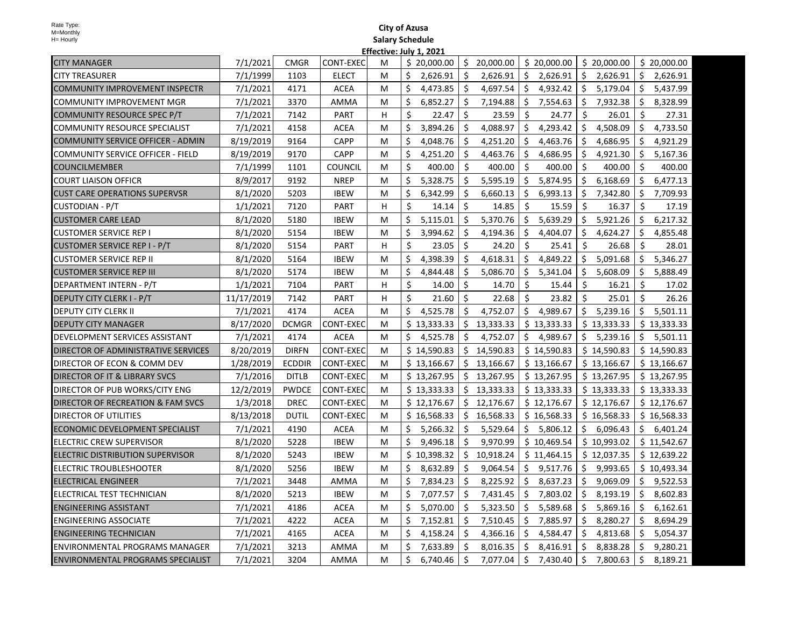|                                          |            |               |                  | criective. |    | JUIV 1, ZUZJ |    |             |    |             |         |             |    |             |
|------------------------------------------|------------|---------------|------------------|------------|----|--------------|----|-------------|----|-------------|---------|-------------|----|-------------|
| <b>CITY MANAGER</b>                      | 7/1/2021   | <b>CMGR</b>   | CONT-EXEC        | м          |    | \$20,000.00  | Ś. | 20,000.00   |    | \$20,000.00 |         | \$20,000.00 |    | \$20,000.00 |
| <b>CITY TREASURER</b>                    | 7/1/1999   | 1103          | <b>ELECT</b>     | м          | \$ | 2,626.91     | \$ | 2,626.91    | S  | 2,626.91    | S.      | 2,626.91    | \$ | 2,626.91    |
| COMMUNITY IMPROVEMENT INSPECTR           | 7/1/2021   | 4171          | <b>ACEA</b>      | м          | \$ | 4,473.85     | \$ | 4,697.54    | \$ | 4,932.42    | $\zeta$ | 5,179.04    | \$ | 5,437.99    |
| COMMUNITY IMPROVEMENT MGR                | 7/1/2021   | 3370          | AMMA             | м          | Ś. | 6,852.27     | Ś. | 7,194.88    | \$ | 7,554.63    | \$      | 7,932.38    | \$ | 8,328.99    |
| COMMUNITY RESOURCE SPEC P/T              | 7/1/2021   | 7142          | <b>PART</b>      | H          | \$ | 22.47        | \$ | 23.59       | \$ | 24.77       | Ŝ.      | 26.01       | \$ | 27.31       |
| <b>COMMUNITY RESOURCE SPECIALIST</b>     | 7/1/2021   | 4158          | <b>ACEA</b>      | м          | Ś. | 3,894.26     | Ś. | 4,088.97    | Ś. | 4,293.42    | \$      | 4,508.09    | \$ | 4,733.50    |
| <b>COMMUNITY SERVICE OFFICER - ADMIN</b> | 8/19/2019  | 9164          | <b>CAPP</b>      | м          | \$ | 4,048.76     | \$ | 4,251.20    | \$ | 4,463.76    | \$      | 4,686.95    | \$ | 4,921.29    |
| COMMUNITY SERVICE OFFICER - FIELD        | 8/19/2019  | 9170          | <b>CAPP</b>      | м          | \$ | 4,251.20     | Ś. | 4,463.76    | \$ | 4,686.95    | \$      | 4,921.30    | \$ | 5,167.36    |
| <b>COUNCILMEMBER</b>                     | 7/1/1999   | 1101          | <b>COUNCIL</b>   | М          | \$ | 400.00       | Ŝ. | 400.00      | \$ | 400.00      | \$      | 400.00      | \$ | 400.00      |
| <b>COURT LIAISON OFFICR</b>              | 8/9/2017   | 9192          | <b>NREP</b>      | М          | \$ | 5,328.75     | \$ | 5,595.19    | \$ | 5,874.95    | \$      | 6,168.69    | \$ | 6,477.13    |
| <b>CUST CARE OPERATIONS SUPERVSR</b>     | 8/1/2020   | 5203          | <b>IBEW</b>      | м          | Ś. | 6,342.99     | Ś  | 6,660.13    | \$ | 6,993.13    | \$      | 7,342.80    | \$ | 7,709.93    |
| <b>CUSTODIAN - P/T</b>                   | 1/1/2021   | 7120          | PART             | H          | Ś. | 14.14        | \$ | 14.85       | Ŝ. | 15.59       | Ŝ.      | 16.37       | Ś. | 17.19       |
| <b>CUSTOMER CARE LEAD</b>                | 8/1/2020   | 5180          | <b>IBEW</b>      | м          | \$ | 5,115.01     | \$ | 5,370.76    | Ś. | 5,639.29    | Ŝ.      | 5,921.26    | \$ | 6,217.32    |
| <b>CUSTOMER SERVICE REP I</b>            | 8/1/2020   | 5154          | <b>IBEW</b>      | м          | \$ | 3,994.62     | \$ | 4,194.36    | \$ | 4,404.07    | \$      | 4,624.27    | \$ | 4,855.48    |
| CUSTOMER SERVICE REP I - P/T             | 8/1/2020   | 5154          | <b>PART</b>      | н          | \$ | 23.05        | Ŝ. | 24.20       | Ŝ. | 25.41       | Ŝ.      | 26.68       | Ŝ. | 28.01       |
| <b>CUSTOMER SERVICE REP II</b>           | 8/1/2020   | 5164          | <b>IBEW</b>      | М          | \$ | 4,398.39     | Ś. | 4,618.31    | \$ | 4,849.22    | \$      | 5,091.68    | \$ | 5,346.27    |
| <b>CUSTOMER SERVICE REP III</b>          | 8/1/2020   | 5174          | <b>IBEW</b>      | м          | \$ | 4,844.48     | \$ | 5,086.70    | \$ | 5,341.04    | \$      | 5,608.09    | \$ | 5,888.49    |
| DEPARTMENT INTERN - P/T                  | 1/1/2021   | 7104          | PART             | н          | \$ | 14.00        | Ś  | 14.70       | \$ | 15.44       | \$      | 16.21       | \$ | 17.02       |
| DEPUTY CITY CLERK I - P/T                | 11/17/2019 | 7142          | PART             | H          | \$ | 21.60        | Ś. | 22.68       | \$ | 23.82       | \$      | 25.01       | \$ | 26.26       |
| <b>DEPUTY CITY CLERK II</b>              | 7/1/2021   | 4174          | <b>ACEA</b>      | м          | Ś  | 4,525.78     | Ś. | 4,752.07    |    | \$4,989.67  | Ŝ.      | 5,239.16    | Ś. | 5,501.11    |
| <b>DEPUTY CITY MANAGER</b>               | 8/17/2020  | <b>DCMGR</b>  | CONT-EXEC        | м          |    | \$13,333.33  |    | \$13,333.33 |    | \$13,333.33 |         | \$13,333.33 |    | \$13,333.33 |
| DEVELOPMENT SERVICES ASSISTANT           | 7/1/2021   | 4174          | <b>ACEA</b>      | М          | Ś. | 4,525.78     | Ŝ. | 4,752.07    |    | \$4,989.67  |         | \$5,239.16  |    | \$5,501.11  |
| DIRECTOR OF ADMINISTRATIVE SERVICES      | 8/20/2019  | <b>DIRFN</b>  | CONT-EXEC        | м          |    | \$14,590.83  |    | \$14,590.83 |    | \$14,590.83 |         | \$14,590.83 |    | \$14,590.83 |
| DIRECTOR OF ECON & COMM DEV              | 1/28/2019  | <b>ECDDIR</b> | <b>CONT-EXEC</b> | М          |    | \$13,166.67  |    | \$13,166.67 |    | \$13,166.67 |         | \$13,166.67 |    | \$13,166.67 |
| DIRECTOR OF IT & LIBRARY SVCS            | 7/1/2016   | <b>DITLB</b>  | CONT-EXEC        | м          |    | \$13,267.95  |    | \$13,267.95 |    | \$13,267.95 |         | \$13,267.95 |    | \$13,267.95 |
| DIRECTOR OF PUB WORKS/CITY ENG           | 12/2/2019  | <b>PWDCE</b>  | CONT-EXEC        | M          |    | \$13,333.33  |    | \$13,333.33 |    | \$13,333.33 |         | \$13,333.33 |    | \$13,333.33 |
| DIRECTOR OF RECREATION & FAM SVCS        | 1/3/2018   | <b>DREC</b>   | CONT-EXEC        | M          |    | \$12,176.67  |    | \$12,176.67 |    | \$12,176.67 |         | \$12,176.67 |    | \$12,176.67 |
| <b>DIRECTOR OF UTILITIES</b>             | 8/13/2018  | <b>DUTIL</b>  | CONT-EXEC        | M          |    | \$16,568.33  |    | \$16,568.33 |    | \$16,568.33 |         | \$16,568.33 |    | \$16,568.33 |
| ECONOMIC DEVELOPMENT SPECIALIST          | 7/1/2021   | 4190          | <b>ACEA</b>      | М          | Ś. | 5,266.32     | Ŝ. | 5,529.64    |    | \$5,806.12  |         | \$6,096.43  |    | \$6,401.24  |
| <b>ELECTRIC CREW SUPERVISOR</b>          | 8/1/2020   | 5228          | <b>IBEW</b>      | м          | Ś. | 9,496.18     | Ŝ. | 9,970.99    |    | \$10,469.54 |         | \$10,993.02 |    | \$11,542.67 |
| ELECTRIC DISTRIBUTION SUPERVISOR         | 8/1/2020   | 5243          | <b>IBEW</b>      | м          |    | \$10,398.32  | Ś. | 10,918.24   |    | \$11,464.15 |         | \$12,037.35 |    | \$12,639.22 |
| <b>ELECTRIC TROUBLESHOOTER</b>           | 8/1/2020   | 5256          | <b>IBEW</b>      | м          | \$ | 8,632.89     | \$ | 9,064.54    | \$ | 9,517.76    | \$      | 9,993.65    |    | \$10,493.34 |
| ELECTRICAL ENGINEER                      | 7/1/2021   | 3448          | AMMA             | М          | \$ | 7,834.23     | Ś. | 8,225.92    | \$ | 8,637.23    | \$      | 9,069.09    | \$ | 9,522.53    |
| ELECTRICAL TEST TECHNICIAN               | 8/1/2020   | 5213          | <b>IBEW</b>      | М          | \$ | 7,077.57     | \$ | 7,431.45    | \$ | 7,803.02    | \$      | 8,193.19    | \$ | 8,602.83    |
| <b>ENGINEERING ASSISTANT</b>             | 7/1/2021   | 4186          | <b>ACEA</b>      | м          | \$ | 5,070.00     | Ŝ  | 5,323.50    | \$ | 5,589.68    | \$      | 5,869.16    | \$ | 6,162.61    |
| <b>ENGINEERING ASSOCIATE</b>             | 7/1/2021   | 4222          | <b>ACEA</b>      | м          | \$ | 7,152.81     | Ś  | 7,510.45    | \$ | 7,885.97    | \$      | 8,280.27    | Ŝ. | 8,694.29    |
| <b>ENGINEERING TECHNICIAN</b>            | 7/1/2021   | 4165          | <b>ACEA</b>      | м          | \$ | 4,158.24     | Ś. | 4,366.16    | Ś. | 4,584.47    | \$      | 4,813.68    | \$ | 5,054.37    |
| <b>ENVIRONMENTAL PROGRAMS MANAGER</b>    | 7/1/2021   | 3213          | AMMA             | м          | \$ | 7,633.89     | Ś. | 8,016.35    | Ŝ. | 8,416.91    | Ŝ.      | 8,838.28    | \$ | 9,280.21    |
| <b>ENVIRONMENTAL PROGRAMS SPECIALIST</b> | 7/1/2021   | 3204          | AMMA             | м          | Ś. | 6,740.46     | \$ | 7,077.04    | \$ | 7,430.40    | \$      | 7,800.63    | \$ | 8,189.21    |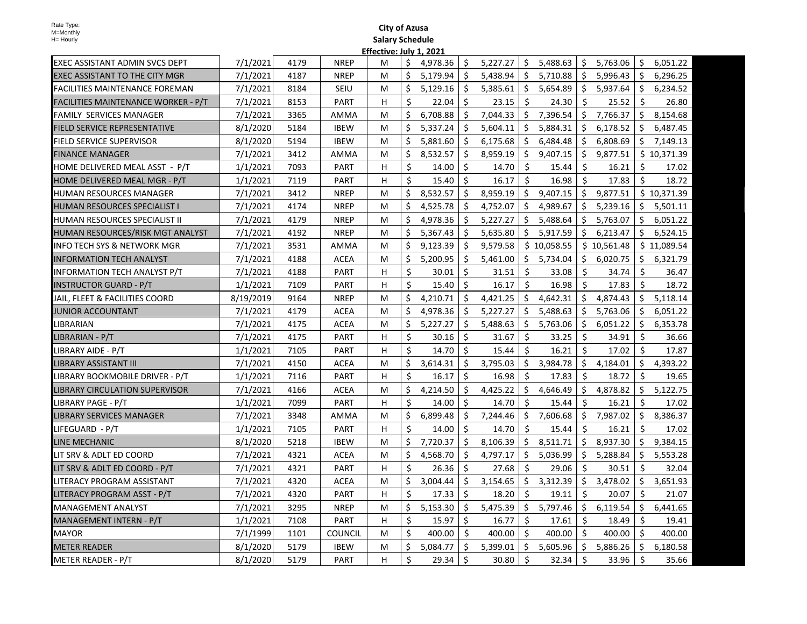|                                        |           |      |                | <u>. IICLUV</u> |                    |          |                    |          |              |             |                      |             |     |             |
|----------------------------------------|-----------|------|----------------|-----------------|--------------------|----------|--------------------|----------|--------------|-------------|----------------------|-------------|-----|-------------|
| EXEC ASSISTANT ADMIN SVCS DEPT         | 7/1/2021  | 4179 | <b>NREP</b>    | M               | \$.                | 4,978.36 | \$.                | 5,227.27 | \$.          | 5,488.63    | \$                   | 5,763.06    | \$. | 6,051.22    |
| EXEC ASSISTANT TO THE CITY MGR         | 7/1/2021  | 4187 | <b>NREP</b>    | M               | \$                 | 5,179.94 | \$                 | 5,438.94 | \$           | 5,710.88    | S.                   | 5,996.43    | \$  | 6,296.25    |
| <b>IFACILITIES MAINTENANCE FOREMAN</b> | 7/1/2021  | 8184 | <b>SEIU</b>    | M               | Ś.                 | 5,129.16 | Ŝ.                 | 5,385.61 | Ŝ.           | 5,654.89    | Ŝ.                   | 5,937.64    | Ś.  | 6,234.52    |
| FACILITIES MAINTENANCE WORKER - P/T    | 7/1/2021  | 8153 | <b>PART</b>    | H               | \$                 | 22.04    | Ś.                 | 23.15    | Ŝ.           | 24.30       | Ŝ.                   | 25.52       | \$  | 26.80       |
| <b>FAMILY SERVICES MANAGER</b>         | 7/1/2021  | 3365 | AMMA           | M               | \$                 | 6,708.88 | Ŝ.                 | 7,044.33 | Ŝ.           | 7,396.54    | Ŝ.                   | 7,766.37    | Ś.  | 8,154.68    |
| <b>FIELD SERVICE REPRESENTATIVE</b>    | 8/1/2020  | 5184 | <b>IBEW</b>    | M               | \$                 | 5,337.24 | \$                 | 5,604.11 | \$           | 5,884.31    | Ŝ.                   | 6,178.52    | \$  | 6,487.45    |
| <b>FIELD SERVICE SUPERVISOR</b>        | 8/1/2020  | 5194 | <b>IBEW</b>    | M               | \$                 | 5,881.60 | \$                 | 6,175.68 | \$           | 6,484.48    | \$                   | 6,808.69    | \$  | 7,149.13    |
| FINANCE MANAGER                        | 7/1/2021  | 3412 | AMMA           | M               | \$                 | 8,532.57 | \$                 | 8,959.19 | \$           | 9,407.15    | \$                   | 9,877.51    |     | \$10,371.39 |
| HOME DELIVERED MEAL ASST - P/T         | 1/1/2021  | 7093 | <b>PART</b>    | н               | \$                 | 14.00    | Ś.                 | 14.70    | Ŝ.           | 15.44       | $\boldsymbol{\zeta}$ | 16.21       | Ś.  | 17.02       |
| HOME DELIVERED MEAL MGR - P/T          | 1/1/2021  | 7119 | <b>PART</b>    | н               | \$                 | 15.40    | Ś.                 | 16.17    | Ś.           | 16.98       | Ś.                   | 17.83       | Ś.  | 18.72       |
| IHUMAN RESOURCES MANAGER               | 7/1/2021  | 3412 | <b>NREP</b>    | м               | \$                 | 8,532.57 | Ś.                 | 8,959.19 | Ś.           | 9,407.15    | Ŝ.                   | 9,877.51    |     | \$10,371.39 |
| HUMAN RESOURCES SPECIALIST I           | 7/1/2021  | 4174 | <b>NREP</b>    | м               | Ś.                 | 4,525.78 | Ś.                 | 4,752.07 | Ŝ.           | 4,989.67    | Ŝ.                   | 5,239.16    | Ś.  | 5,501.11    |
| <b>HUMAN RESOURCES SPECIALIST II</b>   | 7/1/2021  | 4179 | <b>NREP</b>    | M               | Ś.                 | 4,978.36 | Ŝ.                 | 5,227.27 | Ŝ.           | 5,488.64    | Ŝ.                   | 5,763.07    | Ś.  | 6,051.22    |
| HUMAN RESOURCES/RISK MGT ANALYST       | 7/1/2021  | 4192 | <b>NREP</b>    | м               | \$                 | 5,367.43 | \$                 | 5,635.80 | Ś.           | 5,917.59    | Ŝ.                   | 6,213.47    | \$  | 6,524.15    |
| INFO TECH SYS & NETWORK MGR            | 7/1/2021  | 3531 | AMMA           | M               | \$                 | 9,123.39 | Ŝ.                 | 9,579.58 |              | \$10,058.55 |                      | \$10,561.48 |     | \$11,089.54 |
| <b>INFORMATION TECH ANALYST</b>        | 7/1/2021  | 4188 | <b>ACEA</b>    | M               | \$                 | 5,200.95 | \$                 | 5,461.00 | \$.          | 5,734.04    | \$                   | 6,020.75    | \$. | 6,321.79    |
| <b>INFORMATION TECH ANALYST P/T</b>    | 7/1/2021  | 4188 | <b>PART</b>    | н               | \$                 | 30.01    | Ś.                 | 31.51    | \$           | 33.08       | \$                   | 34.74       | Ś.  | 36.47       |
| <b>INSTRUCTOR GUARD - P/T</b>          | 1/1/2021  | 7109 | <b>PART</b>    | H               | \$                 | 15.40    | Ś.                 | 16.17    | $\mathsf{S}$ | 16.98       | Ŝ.                   | 17.83       | Ś.  | 18.72       |
| JAIL, FLEET & FACILITIES COORD         | 8/19/2019 | 9164 | <b>NREP</b>    | M               | \$                 | 4,210.71 | Ś.                 | 4,421.25 | Ŝ.           | 4,642.31    | $\mathsf{\dot{S}}$   | 4,874.43    | Ś.  | 5,118.14    |
| <b>JUNIOR ACCOUNTANT</b>               | 7/1/2021  | 4179 | <b>ACEA</b>    | M               | Ś                  | 4,978.36 | Ŝ.                 | 5,227.27 | Ŝ.           | 5,488.63    | Ŝ.                   | 5,763.06    | Ś.  | 6,051.22    |
| <b>LIBRARIAN</b>                       | 7/1/2021  | 4175 | <b>ACEA</b>    | м               | \$                 | 5,227.27 | \$                 | 5,488.63 | \$           | 5,763.06    | Ŝ.                   | 6,051.22    | \$  | 6,353.78    |
| LIBRARIAN - P/T                        | 7/1/2021  | 4175 | <b>PART</b>    | H               | \$                 | 30.16    | \$                 | 31.67    | \$           | 33.25       | \$                   | 34.91       | \$  | 36.66       |
| LIBRARY AIDE - P/T                     | 1/1/2021  | 7105 | <b>PART</b>    | H               | \$                 | 14.70    | Ŝ.                 | 15.44    | Ŝ.           | 16.21       | Ŝ.                   | 17.02       | \$  | 17.87       |
| <b>LIBRARY ASSISTANT III</b>           | 7/1/2021  | 4150 | <b>ACEA</b>    | М               | \$                 | 3,614.31 | \$                 | 3,795.03 | \$           | 3,984.78    | Ŝ.                   | 4,184.01    | \$  | 4,393.22    |
| LIBRARY BOOKMOBILE DRIVER - P/T        | 1/1/2021  | 7116 | <b>PART</b>    | H               | \$                 | 16.17    | Ś.                 | 16.98    | Ś.           | 17.83       | \$                   | 18.72       | \$  | 19.65       |
| LIBRARY CIRCULATION SUPERVISOR         | 7/1/2021  | 4166 | <b>ACEA</b>    | м               | \$                 | 4,214.50 | \$                 | 4,425.22 | Ŝ.           | 4,646.49    | Ŝ.                   | 4,878.82    | \$  | 5,122.75    |
| ILIBRARY PAGE - P/T                    | 1/1/2021  | 7099 | <b>PART</b>    | H               | \$                 | 14.00    | $\mathsf{\hat{S}}$ | 14.70    | Ŝ.           | 15.44       | Ś.                   | 16.21       | \$  | 17.02       |
| <b>LIBRARY SERVICES MANAGER</b>        | 7/1/2021  | 3348 | AMMA           | M               | \$                 | 6,899.48 | Ŝ.                 | 7,244.46 | Ŝ.           | 7,606.68    | Ŝ.                   | 7,987.02    | Ś.  | 8,386.37    |
| LIFEGUARD - P/T                        | 1/1/2021  | 7105 | <b>PART</b>    | H               | $\mathsf{\hat{S}}$ | 14.00    | Ś.                 | 14.70    | Ŝ.           | 15.44       | Ś.                   | 16.21       | Ś.  | 17.02       |
| LINE MECHANIC                          | 8/1/2020  | 5218 | <b>IBEW</b>    | M               | \$                 | 7,720.37 | Ś.                 | 8,106.39 |              | \$8,511.71  | Ŝ.                   | 8,937.30    | Ś.  | 9,384.15    |
| LIT SRV & ADLT ED COORD                | 7/1/2021  | 4321 | <b>ACEA</b>    | М               | \$                 | 4,568.70 | \$                 | 4,797.17 | Ŝ.           | 5,036.99    | Ŝ.                   | 5,288.84    | \$  | 5,553.28    |
| LIT SRV & ADLT ED COORD - P/T          | 7/1/2021  | 4321 | <b>PART</b>    | н               | \$                 | 26.36    | Ś.                 | 27.68    | \$           | 29.06       | \$                   | 30.51       | Ś.  | 32.04       |
| LITERACY PROGRAM ASSISTANT             | 7/1/2021  | 4320 | ACEA           | М               | \$                 | 3,004.44 | \$                 | 3,154.65 | \$           | 3,312.39    | Ŝ.                   | 3,478.02    | \$  | 3,651.93    |
| LITERACY PROGRAM ASST - P/T            | 7/1/2021  | 4320 | <b>PART</b>    | H               | \$                 | 17.33    | Ś.                 | 18.20    | Ŝ.           | 19.11       | Ŝ.                   | 20.07       | Ś.  | 21.07       |
| MANAGEMENT ANALYST                     | 7/1/2021  | 3295 | <b>NREP</b>    | M               | \$                 | 5,153.30 | Ś.                 | 5,475.39 | Ŝ.           | 5,797.46    | Ŝ.                   | 6,119.54    | Ś.  | 6,441.65    |
| MANAGEMENT INTERN - P/T                | 1/1/2021  | 7108 | <b>PART</b>    | H               | \$                 | 15.97    | \$                 | 16.77    | \$           | 17.61       | Ŝ.                   | 18.49       | \$  | 19.41       |
| <b>MAYOR</b>                           | 7/1/1999  | 1101 | <b>COUNCIL</b> | M               | $\mathsf{\hat{S}}$ | 400.00   | Ŝ.                 | 400.00   | Ŝ.           | 400.00      | Ŝ.                   | 400.00      | Ś.  | 400.00      |
| <b>METER READER</b>                    | 8/1/2020  | 5179 | <b>IBEW</b>    | M               | \$                 | 5,084.77 | Ś.                 | 5,399.01 | Ŝ.           | 5,605.96    | Ŝ.                   | 5,886.26    | \$  | 6,180.58    |
| METER READER - P/T                     | 8/1/2020  | 5179 | <b>PART</b>    | H.              | $\zeta$            | 29.34    | Ŝ.                 | 30.80    | \$           | 32.34       | \$                   | 33.96       | Ś.  | 35.66       |
|                                        |           |      |                |                 |                    |          |                    |          |              |             |                      |             |     |             |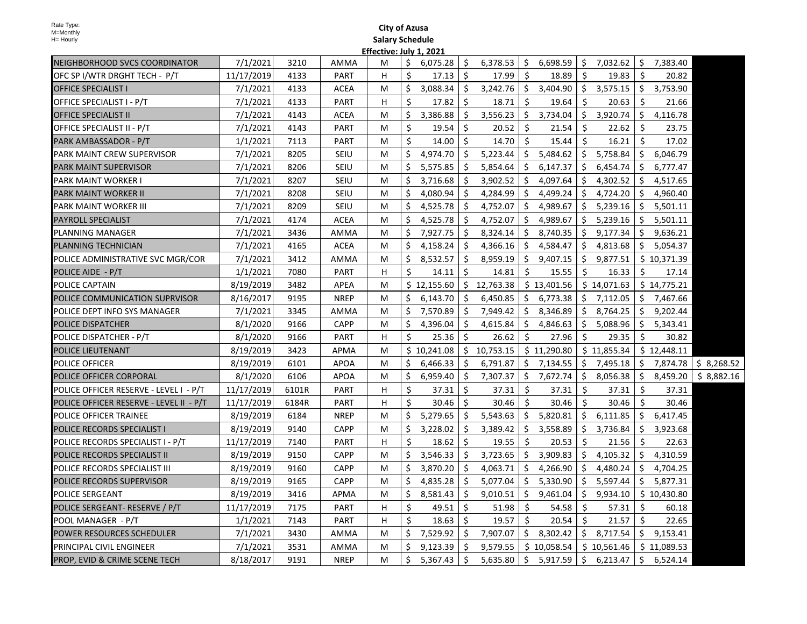|                                          |            |       |             | Eliective. July 1, 202. |     |             |     |                 |                     |             |     |             |     |             |                        |
|------------------------------------------|------------|-------|-------------|-------------------------|-----|-------------|-----|-----------------|---------------------|-------------|-----|-------------|-----|-------------|------------------------|
| NEIGHBORHOOD SVCS COORDINATOR            | 7/1/2021   | 3210  | AMMA        | M                       | \$  | 6,075.28    | \$. | $6,378.53$   \$ |                     | 6,698.59    |     | \$7,032.62  | S.  | 7,383.40    |                        |
| OFC SP I/WTR DRGHT TECH - P/T            | 11/17/2019 | 4133  | <b>PART</b> | H                       | \$  | 17.13       | \$  | 17.99           | Ŝ.                  | 18.89       | \$  | 19.83       | S.  | 20.82       |                        |
| <b>OFFICE SPECIALIST I</b>               | 7/1/2021   | 4133  | ACEA        | М                       | \$  | 3,088.34    | \$  | 3,242.76        | $\ddot{\mathsf{S}}$ | 3,404.90    |     | \$3,575.15  | \$  | 3,753.90    |                        |
| OFFICE SPECIALIST I - P/T                | 7/1/2021   | 4133  | PART        | H                       | Ŝ.  | 17.82       | Ŝ.  | 18.71           | \$                  | 19.64       | Ŝ.  | 20.63       | Ŝ.  | 21.66       |                        |
| <b>OFFICE SPECIALIST II</b>              | 7/1/2021   | 4143  | ACEA        | М                       | Ŝ.  | 3,386.88    | \$  | 3,556.23        | \$                  | 3,734.04    |     | \$3,920.74  | \$  | 4,116.78    |                        |
| OFFICE SPECIALIST II - P/T               | 7/1/2021   | 4143  | PART        | М                       | Ś.  | 19.54       | Ŝ.  | 20.52           | \$                  | 21.54       | Ŝ.  | 22.62       | Ŝ.  | 23.75       |                        |
| PARK AMBASSADOR - P/T                    | 1/1/2021   | 7113  | PART        | М                       | Ŝ.  | 14.00       | Ŝ.  | 14.70           | \$                  | 15.44       | Ŝ.  | 16.21       | Ŝ.  | 17.02       |                        |
| PARK MAINT CREW SUPERVISOR               | 7/1/2021   | 8205  | SEIU        | М                       | Ś.  | 4,974.70    | \$  | 5,223.44        | Ŝ.                  | 5,484.62    | \$  | 5,758.84    | \$  | 6,046.79    |                        |
| PARK MAINT SUPERVISOR                    | 7/1/2021   | 8206  | SEIU        | М                       | \$. | 5,575.85    | \$. | 5,854.64        | \$                  | 6,147.37    | \$  | 6,454.74    | \$  | 6,777.47    |                        |
| PARK MAINT WORKER I                      | 7/1/2021   | 8207  | SEIU        | M                       | Ŝ.  | 3,716.68    | Ŝ.  | 3,902.52        | Ŝ.                  | 4,097.64    | Ŝ.  | 4,302.52    | Ŝ.  | 4,517.65    |                        |
| PARK MAINT WORKER II                     | 7/1/2021   | 8208  | <b>SEIU</b> | M                       | Ŝ.  | 4,080.94    | Ŝ.  | 4,284.99        | Ŝ.                  | 4,499.24    | Ŝ.  | 4,724.20    | Ŝ.  | 4,960.40    |                        |
| PARK MAINT WORKER III                    | 7/1/2021   | 8209  | SEIU        | М                       | Ŝ.  | 4,525.78    | \$  | 4,752.07        | Ŝ.                  | 4,989.67    | \$  | 5,239.16    | \$  | 5,501.11    |                        |
| <b>PAYROLL SPECIALIST</b>                | 7/1/2021   | 4174  | <b>ACEA</b> | М                       | Ś.  | 4,525.78    | \$  | 4,752.07        | Ŝ.                  | 4,989.67    | \$  | 5,239.16    | Ŝ.  | 5,501.11    |                        |
| PLANNING MANAGER                         | 7/1/2021   | 3436  | AMMA        | М                       | \$. | 7,927.75    | \$. | 8,324.14        | S.                  | 8,740.35    | \$  | 9,177.34    | \$  | 9,636.21    |                        |
| PLANNING TECHNICIAN                      | 7/1/2021   | 4165  | ACEA        | М                       | Ś   | 4,158.24    | \$. | 4,366.16        | \$                  | 4,584.47    | S.  | 4,813.68    |     | \$5,054.37  |                        |
| POLICE ADMINISTRATIVE SVC MGR/COR        | 7/1/2021   | 3412  | AMMA        | M                       | Ś   | 8,532.57    | \$. | 8,959.19        | \$                  | 9,407.15    | S.  | 9,877.51    |     | \$10,371.39 |                        |
| POLICE AIDE - P/T                        | 1/1/2021   | 7080  | PART        | H                       | Ŝ.  | 14.11       | Ŝ.  | 14.81           | Ŝ.                  | 15.55       | Ŝ.  | 16.33       | Ŝ.  | 17.14       |                        |
| POLICE CAPTAIN                           | 8/19/2019  | 3482  | APEA        | M                       |     | \$12,155.60 |     | \$12,763.38     |                     | \$13,401.56 |     | \$14,071.63 |     | \$14,775.21 |                        |
| POLICE COMMUNICATION SUPRVISOR           | 8/16/2017  | 9195  | <b>NREP</b> | M                       | Ś.  | 6,143.70    | Ŝ.  | 6,450.85        | Ŝ.                  | 6,773.38    |     | \$7,112.05  |     | \$7,467.66  |                        |
| POLICE DEPT INFO SYS MANAGER             | 7/1/2021   | 3345  | AMMA        | М                       | Ŝ.  | 7,570.89    | Ŝ.  | 7,949.42        | Ŝ.                  | 8,346.89    | Ŝ.  | 8,764.25    | \$  | 9,202.44    |                        |
| POLICE DISPATCHER                        | 8/1/2020   | 9166  | <b>CAPP</b> | М                       | Ś.  | 4,396.04    | Ŝ.  | 4,615.84        | Ŝ.                  | 4,846.63    | Ŝ.  | 5,088.96    | Ŝ.  | 5,343.41    |                        |
| POLICE DISPATCHER - P/T                  | 8/1/2020   | 9166  | PART        | H                       | \$  | 25.36       | \$  | 26.62           | \$.                 | 27.96       | S.  | 29.35       | \$. | 30.82       |                        |
| POLICE LIEUTENANT                        | 8/19/2019  | 3423  | <b>APMA</b> | М                       |     | \$10,241.08 |     | \$10,753.15     |                     | \$11,290.80 |     | \$11,855.34 |     | \$12,448.11 |                        |
| POLICE OFFICER                           | 8/19/2019  | 6101  | <b>APOA</b> | М                       | Ś.  | 6,466.33    | Ŝ.  | 6,791.87        |                     | \$7,134.55  |     | \$7,495.18  |     | \$7,874.78  | $\frac{1}{2}$ 8,268.52 |
| POLICE OFFICER CORPORAL                  | 8/1/2020   | 6106  | <b>APOA</b> | М                       | Ś.  | 6,959.40    | \$  | 7,307.37        | \$                  | 7,672.74    | \$  | 8,056.38    | \$  | 8,459.20    | \$8,882.16             |
| POLICE OFFICER RESERVE - LEVEL I - P/T   | 11/17/2019 | 6101R | PART        | H                       | Ŝ.  | 37.31       | Ŝ.  | 37.31           | Ŝ.                  | 37.31       | Ŝ.  | 37.31       | Ŝ.  | 37.31       |                        |
| POLICE OFFICER RESERVE - LEVEL II - P/T  | 11/17/2019 | 6184R | PART        | H                       | Ś.  | 30.46       | \$  | 30.46           | \$                  | 30.46       | Ŝ.  | 30.46       | Ŝ.  | 30.46       |                        |
| POLICE OFFICER TRAINEE                   | 8/19/2019  | 6184  | <b>NREP</b> | М                       | Ś.  | 5,279.65    | \$  | 5,543.63        | \$                  | 5,820.81    | \$  | 6,111.85    | \$  | 6,417.45    |                        |
| POLICE RECORDS SPECIALIST I              | 8/19/2019  | 9140  | <b>CAPP</b> | М                       | \$. | 3,228.02    | \$. | 3,389.42        | \$                  | 3,558.89    | \$. | 3,736.84    | S.  | 3,923.68    |                        |
| POLICE RECORDS SPECIALIST I - P/T        | 11/17/2019 | 7140  | <b>PART</b> | H                       | Ś.  | 18.62       | Ŝ.  | 19.55           | Ŝ.                  | 20.53       | Ŝ.  | 21.56       | Ŝ.  | 22.63       |                        |
| POLICE RECORDS SPECIALIST II             | 8/19/2019  | 9150  | CAPP        | M                       | Ś.  | 3,546.33    | Ŝ.  | 3,723.65        | Ŝ.                  | 3,909.83    | Ŝ.  | 4,105.32    | S.  | 4,310.59    |                        |
| POLICE RECORDS SPECIALIST III            | 8/19/2019  | 9160  | CAPP        | M                       | Ś.  | 3,870.20    | Ŝ.  | 4,063.71        | Ŝ.                  | 4,266.90    | \$  | 4,480.24    | Ŝ.  | 4,704.25    |                        |
| POLICE RECORDS SUPERVISOR                | 8/19/2019  | 9165  | CAPP        | М                       | Ŝ.  | 4,835.28    | Ŝ.  | 5,077.04        | Ŝ.                  | 5,330.90    | Ś.  | 5,597.44    | Ŝ.  | 5,877.31    |                        |
| POLICE SERGEANT                          | 8/19/2019  | 3416  | APMA        | М                       | \$. | 8,581.43    | \$. | 9,010.51        | S.                  | 9,461.04    | \$  | 9,934.10    |     | \$10,430.80 |                        |
| POLICE SERGEANT- RESERVE / P/T           | 11/17/2019 | 7175  | PART        | H                       | \$  | 49.51       | S.  | 51.98           | - \$                | 54.58       | S.  | 57.31       | S.  | 60.18       |                        |
| POOL MANAGER - P/T                       | 1/1/2021   | 7143  | PART        | H                       | Ŝ.  | 18.63       | Ŝ.  | 19.57           | $\ddot{\mathsf{S}}$ | 20.54       | Ŝ.  | 21.57       | Ŝ.  | 22.65       |                        |
| POWER RESOURCES SCHEDULER                | 7/1/2021   | 3430  | AMMA        | M                       | Ś.  | 7,529.92    | \$  | 7,907.07        | \$                  | 8,302.42    |     | \$8,717.54  |     | \$9,153.41  |                        |
| PRINCIPAL CIVIL ENGINEER                 | 7/1/2021   | 3531  | <b>AMMA</b> | M                       | Ś.  | 9,123.39    | Ŝ.  | 9,579.55        |                     | \$10,058.54 |     | \$10,561.46 |     | \$11,089.53 |                        |
| <b>PROP, EVID &amp; CRIME SCENE TECH</b> | 8/18/2017  | 9191  | <b>NREP</b> | M                       | \$  | 5,367.43    | Ŝ.  | 5,635.80        | \$                  | 5,917.59    |     | \$6,213.47  |     | \$6,524.14  |                        |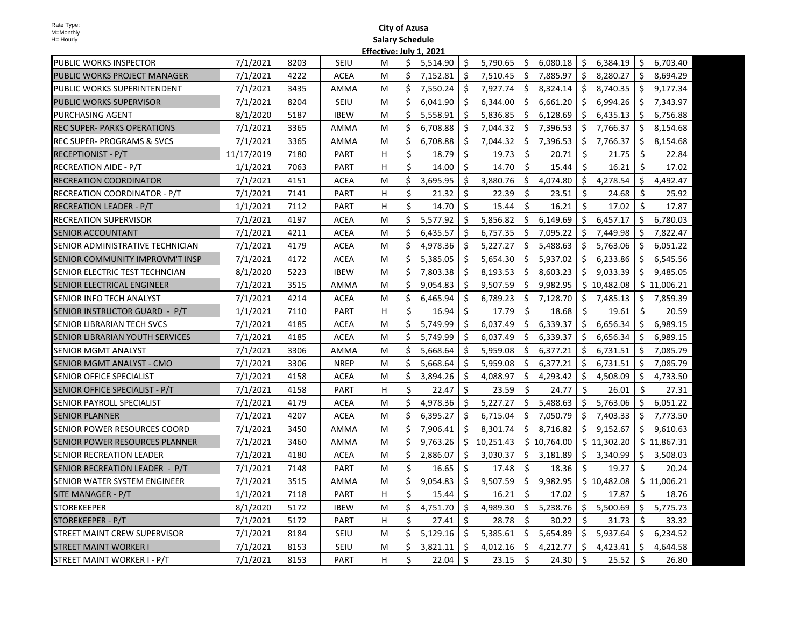|                                       |            |      |             | .ווכננו |         |          |                     |           |     |             |     |             |     |             |
|---------------------------------------|------------|------|-------------|---------|---------|----------|---------------------|-----------|-----|-------------|-----|-------------|-----|-------------|
| PUBLIC WORKS INSPECTOR                | 7/1/2021   | 8203 | SEIU        | м       | \$      | 5,514.90 | Ŝ.                  | 5,790.65  | \$  | 6,080.18    | -\$ | 6,384.19    | \$  | 6,703.40    |
| PUBLIC WORKS PROJECT MANAGER          | 7/1/2021   | 4222 | <b>ACEA</b> | м       | Ś.      | 7,152.81 | Ŝ.                  | 7,510.45  | Ś.  | 7.885.97    | Ŝ.  | 8.280.27    | Ŝ.  | 8.694.29    |
| PUBLIC WORKS SUPERINTENDENT           | 7/1/2021   | 3435 | <b>AMMA</b> | М       | Ŝ.      | 7,550.24 | S.                  | 7,927.74  | Ŝ.  | 8,324.14    | - Ś | 8,740.35    | \$  | 9,177.34    |
| PUBLIC WORKS SUPERVISOR               | 7/1/2021   | 8204 | <b>SEIU</b> | M       | Ŝ.      | 6,041.90 | \$                  | 6,344.00  | \$  | 6,661.20    | \$  | 6,994.26    | \$  | 7,343.97    |
| PURCHASING AGENT                      | 8/1/2020   | 5187 | <b>IBEW</b> | М       | Ś.      | 5,558.91 | Ŝ.                  | 5,836.85  | \$  | 6,128.69    | \$  | 6,435.13    | \$  | 6,756.88    |
| REC SUPER- PARKS OPERATIONS           | 7/1/2021   | 3365 | AMMA        | М       | \$      | 6,708.88 | Ŝ.                  | 7,044.32  | \$  | 7,396.53    | \$  | 7,766.37    | \$  | 8,154.68    |
| <b>REC SUPER- PROGRAMS &amp; SVCS</b> | 7/1/2021   | 3365 | AMMA        | M       | \$      | 6,708.88 | Ŝ.                  | 7,044.32  | \$  | 7,396.53    | \$  | 7,766.37    | \$  | 8,154.68    |
| <b>RECEPTIONIST - P/T</b>             | 11/17/2019 | 7180 | PART        | H       | \$      | 18.79    | \$                  | 19.73     | Ś.  | 20.71       | \$  | 21.75       | Ŝ.  | 22.84       |
| <b>RECREATION AIDE - P/T</b>          | 1/1/2021   | 7063 | <b>PART</b> | H       | Ŝ.      | 14.00    | Ŝ.                  | 14.70     | Ś.  | 15.44       | Ŝ.  | 16.21       | Ŝ.  | 17.02       |
| RECREATION COORDINATOR                | 7/1/2021   | 4151 | <b>ACEA</b> | M       | \$      | 3,695.95 | Ŝ.                  | 3,880.76  | Ś.  | 4,074.80    | Ŝ.  | 4,278.54    | Ŝ.  | 4,492.47    |
| RECREATION COORDINATOR - P/T          | 7/1/2021   | 7141 | PART        | H       | \$      | 21.32    | \$                  | 22.39     | Ŝ.  | 23.51       | \$  | 24.68       | \$  | 25.92       |
| <b>RECREATION LEADER - P/T</b>        | 1/1/2021   | 7112 | <b>PART</b> | H.      | Ś.      | 14.70    | Ŝ.                  | 15.44     | Ŝ.  | 16.21       | Ś.  | 17.02       | Ŝ.  | 17.87       |
| <b>RECREATION SUPERVISOR</b>          | 7/1/2021   | 4197 | ACEA        | м       | \$      | 5,577.92 | Ŝ.                  | 5,856.82  | \$  | 6,149.69    | \$  | 6,457.17    | \$  | 6,780.03    |
| SENIOR ACCOUNTANT                     | 7/1/2021   | 4211 | <b>ACEA</b> | м       | \$      | 6,435.57 | \$                  | 6,757.35  | \$  | 7,095.22    | Ŝ.  | 7,449.98    | \$  | 7,822.47    |
| SENIOR ADMINISTRATIVE TECHNICIAN      | 7/1/2021   | 4179 | <b>ACEA</b> | М       | Ś.      | 4,978.36 | \$                  | 5,227.27  | \$  | 5,488.63    | \$  | 5,763.06    | \$. | 6,051.22    |
| SENIOR COMMUNITY IMPROVM'T INSP       | 7/1/2021   | 4172 | <b>ACEA</b> | м       | \$      | 5,385.05 | \$                  | 5,654.30  | Ŝ.  | 5,937.02    | Ŝ.  | 6,233.86    | Ŝ.  | 6,545.56    |
| SENIOR ELECTRIC TEST TECHNCIAN        | 8/1/2020   | 5223 | <b>IBEW</b> | M       | \$      | 7,803.38 | \$                  | 8,193.53  | Ŝ.  | 8,603.23    | Ŝ.  | 9,033.39    | Ŝ.  | 9,485.05    |
| SENIOR ELECTRICAL ENGINEER            | 7/1/2021   | 3515 | AMMA        | M       | Ś.      | 9,054.83 | Ŝ.                  | 9,507.59  | Ś.  | 9,982.95    |     | \$10,482.08 |     | \$11,006.21 |
| SENIOR INFO TECH ANALYST              | 7/1/2021   | 4214 | <b>ACEA</b> | M       | Ŝ.      | 6,465.94 | Ŝ.                  | 6,789.23  | Ŝ.  | 7,128.70    | Ŝ.  | 7,485.13    | Ŝ.  | 7,859.39    |
| SENIOR INSTRUCTOR GUARD - P/T         | 1/1/2021   | 7110 | PART        | н       | \$      | 16.94    | Ŝ.                  | 17.79     | Ś.  | 18.68       | Ŝ.  | 19.61       | Ŝ.  | 20.59       |
| SENIOR LIBRARIAN TECH SVCS            | 7/1/2021   | 4185 | <b>ACEA</b> | м       | \$      | 5,749.99 | \$                  | 6,037.49  | \$  | 6,339.37    | \$  | 6,656.34    | \$  | 6,989.15    |
| SENIOR LIBRARIAN YOUTH SERVICES       | 7/1/2021   | 4185 | <b>ACEA</b> | м       | Ś.      | 5,749.99 | \$                  | 6,037.49  | Ŝ.  | 6,339.37    | Ŝ.  | 6,656.34    | Ŝ.  | 6,989.15    |
| SENIOR MGMT ANALYST                   | 7/1/2021   | 3306 | AMMA        | M       | Ŝ.      | 5,668.64 | Ŝ.                  | 5,959.08  | \$  | 6,377.21    | Ŝ.  | 6,731.51    | \$  | 7,085.79    |
| SENIOR MGMT ANALYST - CMO             | 7/1/2021   | 3306 | <b>NREP</b> | M       | Ś.      | 5,668.64 | \$                  | 5,959.08  | \$  | 6,377.21    | \$  | 6,731.51    | \$  | 7,085.79    |
| SENIOR OFFICE SPECIALIST              | 7/1/2021   | 4158 | <b>ACEA</b> | М       | \$      | 3,894.26 | \$                  | 4,088.97  | Ś.  | 4,293.42    | Ŝ.  | 4,508.09    | \$  | 4,733.50    |
| SENIOR OFFICE SPECIALIST - P/T        | 7/1/2021   | 4158 | PART        | H       | \$      | 22.47    | \$                  | 23.59     | Ŝ.  | 24.77       | Ŝ.  | 26.01       | Ŝ.  | 27.31       |
| SENIOR PAYROLL SPECIALIST             | 7/1/2021   | 4179 | <b>ACEA</b> | M       | \$      | 4,978.36 | \$                  | 5,227.27  | Ś.  | 5,488.63    | Ŝ.  | 5,763.06    | \$  | 6,051.22    |
| <b>SENIOR PLANNER</b>                 | 7/1/2021   | 4207 | <b>ACEA</b> | M       | \$      | 6,395.27 | Ŝ.                  | 6,715.04  | \$  | 7,050.79    | Ŝ.  | 7,403.33    | \$  | 7,773.50    |
| SENIOR POWER RESOURCES COORD          | 7/1/2021   | 3450 | AMMA        | M       | Ŝ.      | 7.906.41 | Ŝ.                  | 8,301.74  | Ś.  | 8,716.82    | Ś.  | 9,152.67    | Ŝ.  | 9,610.63    |
| SENIOR POWER RESOURCES PLANNER        | 7/1/2021   | 3460 | AMMA        | M       | \$      | 9,763.26 | Ŝ.                  | 10,251.43 |     | \$10,764.00 |     | \$11,302.20 |     | \$11,867.31 |
| <b>SENIOR RECREATION LEADER</b>       | 7/1/2021   | 4180 | <b>ACEA</b> | М       | \$      | 2,886.07 | \$                  | 3,030.37  | \$. | 3,181.89    | \$  | 3,340.99    | \$  | 3,508.03    |
| SENIOR RECREATION LEADER - P/T        | 7/1/2021   | 7148 | <b>PART</b> | м       | Ŝ.      | 16.65    | \$                  | 17.48     | Ŝ.  | 18.36       | Ś.  | 19.27       | Ŝ.  | 20.24       |
| SENIOR WATER SYSTEM ENGINEER          | 7/1/2021   | 3515 | AMMA        | М       | Ś.      | 9,054.83 | Ŝ.                  | 9,507.59  |     | \$9,982.95  |     | \$10,482.08 |     | \$11,006.21 |
| SITE MANAGER - P/T                    | 1/1/2021   | 7118 | <b>PART</b> | H       | Ŝ.      | 15.44    | \$                  | 16.21     | \$  | 17.02       | \$  | 17.87       | Ŝ.  | 18.76       |
| <b>STOREKEEPER</b>                    | 8/1/2020   | 5172 | <b>IBEW</b> | м       | Ś.      | 4,751.70 | Ŝ.                  | 4,989.30  | Ś.  | 5,238.76    | Ŝ.  | 5,500.69    | Ŝ.  | 5,775.73    |
| STOREKEEPER - P/T                     | 7/1/2021   | 5172 | PART        | H       | \$      | 27.41    | Ś.                  | 28.78     | \$  | 30.22       | \$  | 31.73       | Ś.  | 33.32       |
| <b>STREET MAINT CREW SUPERVISOR</b>   | 7/1/2021   | 8184 | <b>SEIU</b> | M       | Ś.      | 5,129.16 | Ŝ.                  | 5,385.61  | Ś.  | 5,654.89    | Ŝ.  | 5,937.64    | Ŝ.  | 6,234.52    |
| <b>STREET MAINT WORKER I</b>          | 7/1/2021   | 8153 | <b>SEIU</b> | M       | Ś.      | 3,821.11 | Ŝ.                  | 4,012.16  | Ś.  | 4,212.77    | Ŝ.  | 4,423.41    | \$  | 4,644.58    |
| STREET MAINT WORKER I - P/T           | 7/1/2021   | 8153 | PART        | H       | $\zeta$ | 22.04    | $\ddot{\mathsf{S}}$ | 23.15     | \$  | 24.30       | Ŝ.  | 25.52       | Ŝ.  | 26.80       |
|                                       |            |      |             |         |         |          |                     |           |     |             |     |             |     |             |